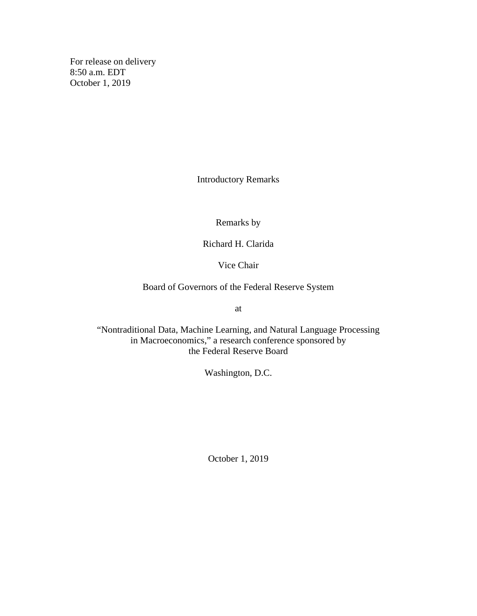For release on delivery 8:50 a.m. EDT October 1, 2019

Introductory Remarks

Remarks by

Richard H. Clarida

Vice Chair

Board of Governors of the Federal Reserve System

at

"Nontraditional Data, Machine Learning, and Natural Language Processing in Macroeconomics," a research conference sponsored by the Federal Reserve Board

Washington, D.C.

October 1, 2019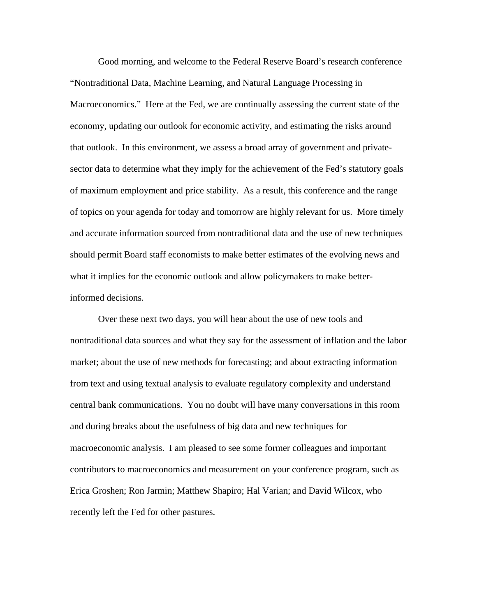Good morning, and welcome to the Federal Reserve Board's research conference "Nontraditional Data, Machine Learning, and Natural Language Processing in Macroeconomics." Here at the Fed, we are continually assessing the current state of the economy, updating our outlook for economic activity, and estimating the risks around that outlook. In this environment, we assess a broad array of government and privatesector data to determine what they imply for the achievement of the Fed's statutory goals of maximum employment and price stability. As a result, this conference and the range of topics on your agenda for today and tomorrow are highly relevant for us. More timely and accurate information sourced from nontraditional data and the use of new techniques should permit Board staff economists to make better estimates of the evolving news and what it implies for the economic outlook and allow policymakers to make betterinformed decisions.

Over these next two days, you will hear about the use of new tools and nontraditional data sources and what they say for the assessment of inflation and the labor market; about the use of new methods for forecasting; and about extracting information from text and using textual analysis to evaluate regulatory complexity and understand central bank communications. You no doubt will have many conversations in this room and during breaks about the usefulness of big data and new techniques for macroeconomic analysis. I am pleased to see some former colleagues and important contributors to macroeconomics and measurement on your conference program, such as Erica Groshen; Ron Jarmin; Matthew Shapiro; Hal Varian; and David Wilcox, who recently left the Fed for other pastures.